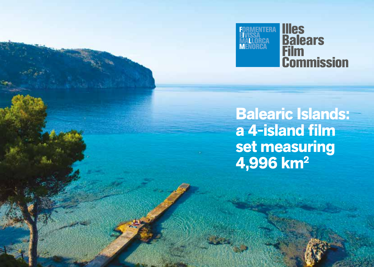

**Balearic Islands: a 4-island film set measuring 4,996 km2**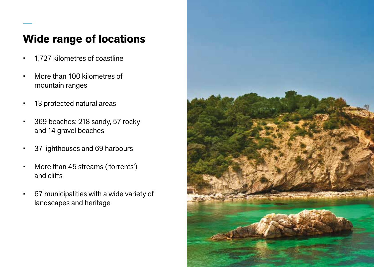## **Wide range of locations**

- 1,727 kilometres of coastline
- More than 100 kilometres of mountain ranges
- 13 protected natural areas
- 369 beaches: 218 sandy, 57 rocky and 14 gravel beaches
- 37 lighthouses and 69 harbours
- More than 45 streams ('torrents') and cliffs
- 67 municipalities with a wide variety of landscapes and heritage

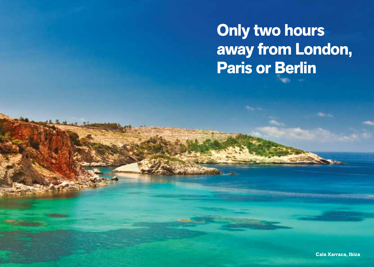**Only two hours away from London, Paris or Berlin**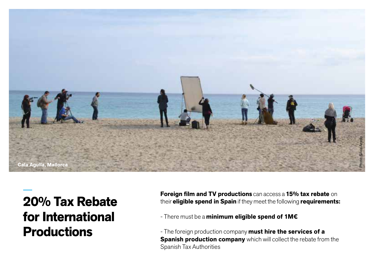

# **20% Tax Rebate for International Productions**

**Foreign film and TV productions** can access a **15% tax rebate** on their **eligible spend in Spain** if they meet the following **requirements:**

- There must be a **minimum eligible spend of 1M€**

- The foreign production company **must hire the services of a Spanish production company** which will collect the rebate from the Spanish Tax Authorities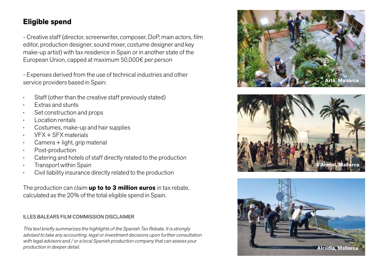## **Eligible spend**

- Creative staff (director, screenwriter, composer, DoP, main actors, film editor, production designer, sound mixer, costume designer and key make-up artist) with tax residence in Spain or in another state of the European Union, capped at maximum 50,000€ per person

- Expenses derived from the use of technical industries and other service providers based in Spain:

- Staff (other than the creative staff previously stated)
- Extras and stunts
- Set construction and props
- Location rentals
- Costumes, make-up and hair supplies
- VFX + SFX materials
- Camera + light, grip material
- Post-production
- Catering and hotels of staff directly related to the production
- Transport within Spain
- Civil liability insurance directly related to the production

The production can claim **up to to 3 million euros** in tax rebate, calculated as the 20% of the total eligible spend in Spain.

#### ILLES BALEARS FILM COMMISSION DISCLAIMER

This text briefly summarizes the highlights of the Spanish Tax Rebate. It is strongly advised to take any accounting, legal or investment decisions upon further consultation with legal advisors and / or a local Spanish production company that can assess your production in deeper detail.





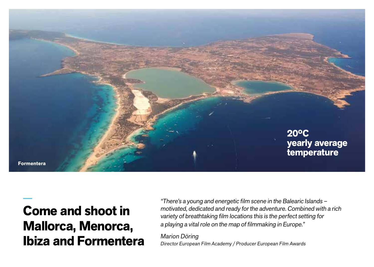

# **Come and shoot in Mallorca, Menorca, Ibiza and Formentera**

"There's a young and energetic film scene in the Balearic Islands – motivated, dedicated and ready for the adventure. Combined with a rich variety of breathtaking film locations this is the perfect setting for a playing a vital role on the map of filmmaking in Europe."

Marion Döring Director European Film Academy / Producer European Film Awards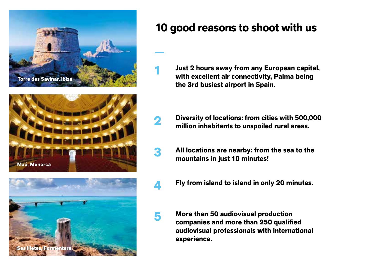





## **10 good reasons to shoot with us**

**1**

**2**

**3**

**4**

**5**

**Just 2 hours away from any European capital, with excellent air connectivity, Palma being the 3rd busiest airport in Spain.**

- **Diversity of locations: from cities with 500,000 million inhabitants to unspoiled rural areas.**
- **All locations are nearby: from the sea to the mountains in just 10 minutes!**
- **Fly from island to island in only 20 minutes.**
- **More than 50 audiovisual production companies and more than 250 qualified audiovisual professionals with international experience.**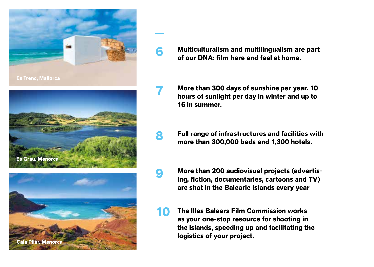





## **Multiculturalism and multilingualism are part of our DNA: film here and feel at home.**

**6**

**7**

**8**

**9**

- **More than 300 days of sunshine per year. 10 hours of sunlight per day in winter and up to 16 in summer.**
- **Full range of infrastructures and facilities with more than 300,000 beds and 1,300 hotels.**
- **More than 200 audiovisual projects (advertising, fiction, documentaries, cartoons and TV) are shot in the Balearic Islands every year**
- **The Illes Balears Film Commission works as your one-stop resource for shooting in the islands, speeding up and facilitating the logistics of your project. 10**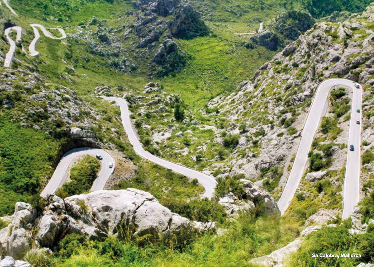**Sa Calobra, Mallorca**æ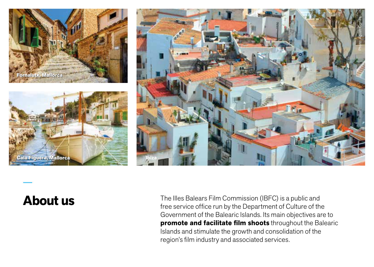



## **About us**

**Cala Figuera, Mallorca Cala Figuera, Mallorca Ibiza**

The Illes Balears Film Commission (IBFC) is a public and free service office run by the Department of Culture of the Government of the Balearic Islands. Its main objectives are to **promote and facilitate film shoots** throughout the Balearic Islands and stimulate the growth and consolidation of the region's film industry and associated services.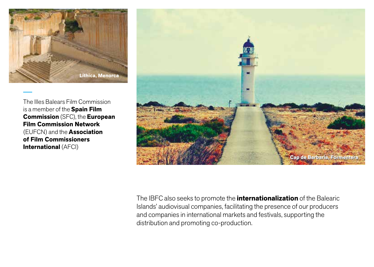

The Illes Balears Film Commission is a member of the **Spain Film Commission** (SFC), the **European Film Commission Network** (EUFCN) and the **Association of Film Commissioners International** (AFCI)



The IBFC also seeks to promote the **internationalization** of the Balearic Islands' audiovisual companies, facilitating the presence of our producers and companies in international markets and festivals, supporting the distribution and promoting co-production.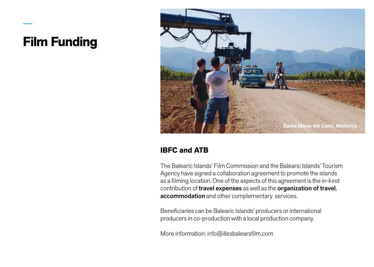# **Film Funding**



## **IBFC and ATB**

The Balearic Islands' Film Commission and the Balearic Islands' Tourism Agency have signed a collaboration agreement to promote the islands as a filming location. One of the aspects of this agreement is the in-kind contribution of travel expenses as well as the organization of travel, accommodation and other complementary services.

Beneficiaries can be Balearic Islands' producers or international producers in co-production with a local production company.

More information: info@illesbalearsfilm.com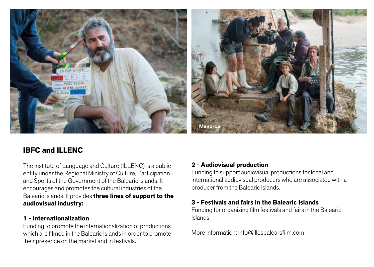

## **IBFC and ILLENC**

The Institute of Language and Culture (ILLENC) is a public entity under the Regional Ministry of Culture, Participation and Sports of the Government of the Balearic Islands. It encourages and promotes the cultural industries of the Balearic Islands. It provides **three lines of support to the audiovisual industry:**

#### **1 - Internationalization**

Funding to promote the internationalization of productions which are filmed in the Balearic Islands in order to promote their presence on the market and in festivals.

#### **2 - Audiovisual production**

Funding to support audiovisual productions for local and international audiovisual producers who are associated with a producer from the Balearic Islands.

### **3 - Festivals and fairs in the Balearic Islands**

Funding for organizing film festivals and fairs in the Balearic Islands.

More information: info@illesbalearsfilm.com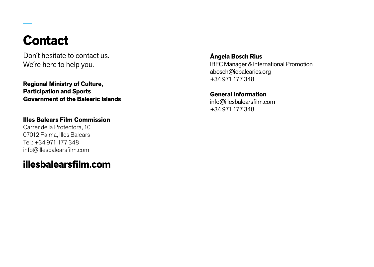# **Contact**

Don´t hesitate to contact us. We´re here to help you.

**Regional Ministry of Culture, Participation and Sports Government of the Balearic Islands**

**Illes Balears Film Commission**

Carrer de la Protectora, 10 07012 Palma, Illes Balears Tel.: +34 971 177 348 info@illesbalearsfilm.com

**illesbalearsfilm.com**

**Àngela Bosch Rius** IBFC Manager & International Promotion abosch@iebalearics.org +34 971 177 348

## **General Information**

info@illesbalearsfilm.com +34 971 177 348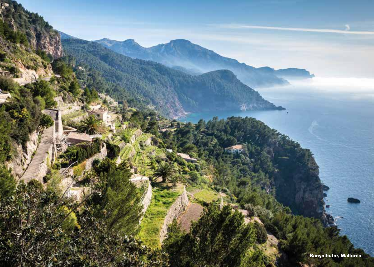**Banyalbufar, Mallorca**